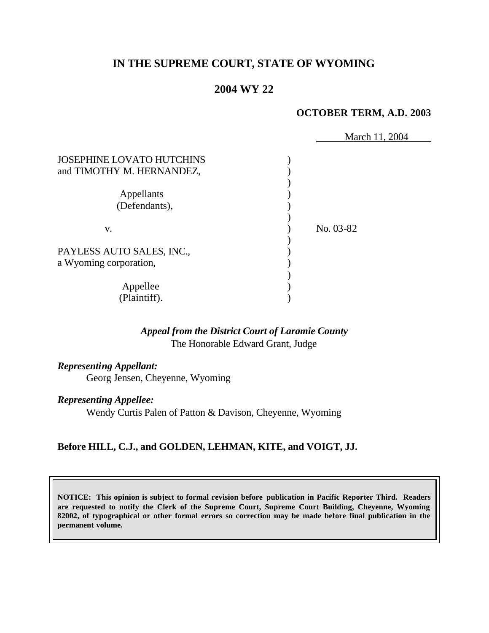# **IN THE SUPREME COURT, STATE OF WYOMING**

## **2004 WY 22**

### **OCTOBER TERM, A.D. 2003**

|                                                               | March 11, 2004 |
|---------------------------------------------------------------|----------------|
| <b>JOSEPHINE LOVATO HUTCHINS</b><br>and TIMOTHY M. HERNANDEZ, |                |
| Appellants                                                    |                |
| (Defendants),                                                 |                |
| V.                                                            | No. 03-82      |
| PAYLESS AUTO SALES, INC.,                                     |                |
| a Wyoming corporation,                                        |                |
| Appellee<br>(Plaintiff).                                      |                |

## *Appeal from the District Court of Laramie County* The Honorable Edward Grant, Judge

*Representing Appellant:* Georg Jensen, Cheyenne, Wyoming

#### *Representing Appellee:*

Wendy Curtis Palen of Patton & Davison, Cheyenne, Wyoming

## **Before HILL, C.J., and GOLDEN, LEHMAN, KITE, and VOIGT, JJ.**

**NOTICE: This opinion is subject to formal revision before publication in Pacific Reporter Third. Readers are requested to notify the Clerk of the Supreme Court, Supreme Court Building, Cheyenne, Wyoming 82002, of typographical or other formal errors so correction may be made before final publication in the permanent volume.**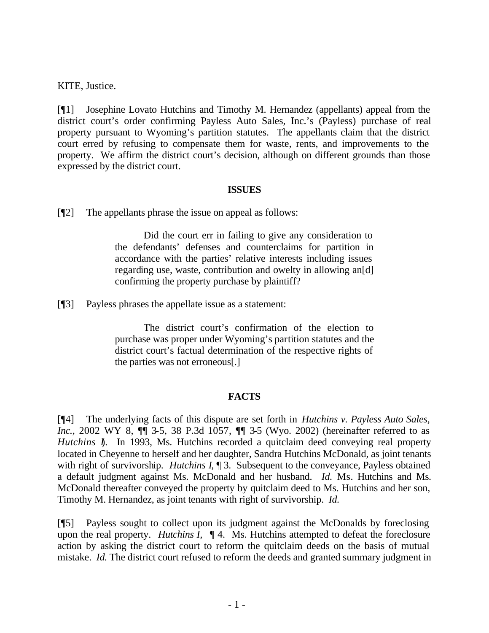KITE, Justice.

[¶1] Josephine Lovato Hutchins and Timothy M. Hernandez (appellants) appeal from the district court's order confirming Payless Auto Sales, Inc.'s (Payless) purchase of real property pursuant to Wyoming's partition statutes. The appellants claim that the district court erred by refusing to compensate them for waste, rents, and improvements to the property. We affirm the district court's decision, although on different grounds than those expressed by the district court.

## **ISSUES**

[¶2] The appellants phrase the issue on appeal as follows:

Did the court err in failing to give any consideration to the defendants' defenses and counterclaims for partition in accordance with the parties' relative interests including issues regarding use, waste, contribution and owelty in allowing an[d] confirming the property purchase by plaintiff?

[¶3] Payless phrases the appellate issue as a statement:

The district court's confirmation of the election to purchase was proper under Wyoming's partition statutes and the district court's factual determination of the respective rights of the parties was not erroneous[.]

## **FACTS**

[¶4] The underlying facts of this dispute are set forth in *Hutchins v. Payless Auto Sales, Inc.*, 2002 WY 8,  $\P$  3-5, 38 P.3d 1057,  $\P$  3-5 (Wyo. 2002) (hereinafter referred to as *Hutchins I.* In 1993, Ms. Hutchins recorded a quitclaim deed conveying real property located in Cheyenne to herself and her daughter, Sandra Hutchins McDonald, as joint tenants with right of survivorship. *Hutchins I*, 1 3. Subsequent to the conveyance, Payless obtained a default judgment against Ms. McDonald and her husband. *Id.* Ms. Hutchins and Ms. McDonald thereafter conveyed the property by quitclaim deed to Ms. Hutchins and her son, Timothy M. Hernandez, as joint tenants with right of survivorship. *Id.* 

[¶5] Payless sought to collect upon its judgment against the McDonalds by foreclosing upon the real property. *Hutchins I,* ¶ 4. Ms. Hutchins attempted to defeat the foreclosure action by asking the district court to reform the quitclaim deeds on the basis of mutual mistake. *Id.* The district court refused to reform the deeds and granted summary judgment in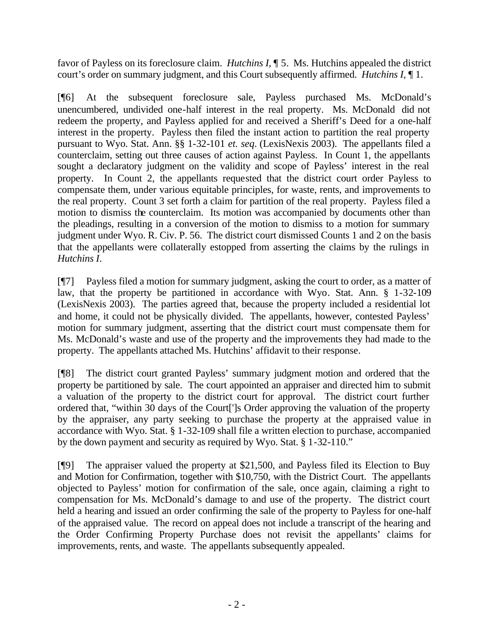favor of Payless on its foreclosure claim. *Hutchins I,* ¶ 5.Ms. Hutchins appealed the district court's order on summary judgment, and this Court subsequently affirmed. *Hutchins I,* ¶ 1.

[¶6] At the subsequent foreclosure sale, Payless purchased Ms. McDonald's unencumbered, undivided one-half interest in the real property. Ms. McDonald did not redeem the property, and Payless applied for and received a Sheriff's Deed for a one-half interest in the property. Payless then filed the instant action to partition the real property pursuant to Wyo. Stat. Ann. §§ 1-32-101 *et. seq*. (LexisNexis 2003). The appellants filed a counterclaim, setting out three causes of action against Payless. In Count 1, the appellants sought a declaratory judgment on the validity and scope of Payless' interest in the real property. In Count 2, the appellants requested that the district court order Payless to compensate them, under various equitable principles, for waste, rents, and improvements to the real property. Count 3 set forth a claim for partition of the real property. Payless filed a motion to dismiss the counterclaim. Its motion was accompanied by documents other than the pleadings, resulting in a conversion of the motion to dismiss to a motion for summary judgment under Wyo. R. Civ. P. 56. The district court dismissed Counts 1 and 2 on the basis that the appellants were collaterally estopped from asserting the claims by the rulings in *Hutchins I*.

[¶7] Payless filed a motion for summary judgment, asking the court to order, as a matter of law, that the property be partitioned in accordance with Wyo. Stat. Ann. § 1-32-109 (LexisNexis 2003). The parties agreed that, because the property included a residential lot and home, it could not be physically divided. The appellants, however, contested Payless' motion for summary judgment, asserting that the district court must compensate them for Ms. McDonald's waste and use of the property and the improvements they had made to the property. The appellants attached Ms. Hutchins' affidavit to their response.

[¶8] The district court granted Payless' summary judgment motion and ordered that the property be partitioned by sale. The court appointed an appraiser and directed him to submit a valuation of the property to the district court for approval. The district court further ordered that, "within 30 days of the Court[']s Order approving the valuation of the property by the appraiser, any party seeking to purchase the property at the appraised value in accordance with Wyo. Stat. § 1-32-109 shall file a written election to purchase, accompanied by the down payment and security as required by Wyo. Stat. § 1-32-110."

[¶9] The appraiser valued the property at \$21,500, and Payless filed its Election to Buy and Motion for Confirmation, together with \$10,750, with the District Court. The appellants objected to Payless' motion for confirmation of the sale, once again, claiming a right to compensation for Ms. McDonald's damage to and use of the property. The district court held a hearing and issued an order confirming the sale of the property to Payless for one-half of the appraised value. The record on appeal does not include a transcript of the hearing and the Order Confirming Property Purchase does not revisit the appellants' claims for improvements, rents, and waste. The appellants subsequently appealed.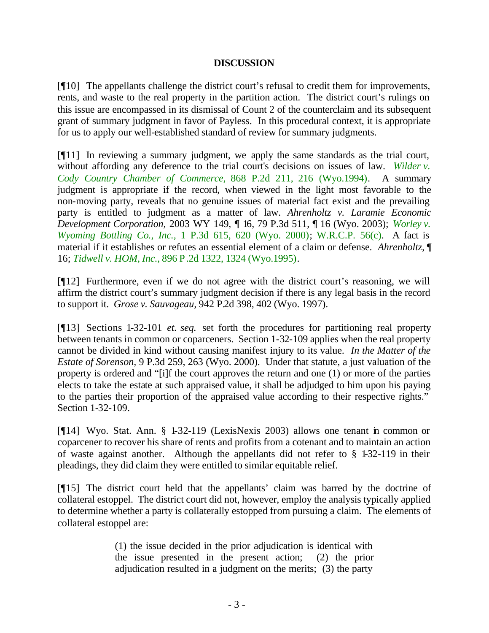## **DISCUSSION**

[¶10] The appellants challenge the district court's refusal to credit them for improvements, rents, and waste to the real property in the partition action. The district court's rulings on this issue are encompassed in its dismissal of Count 2 of the counterclaim and its subsequent grant of summary judgment in favor of Payless. In this procedural context, it is appropriate for us to apply our well-established standard of review for summary judgments.

[¶11] In reviewing a summary judgment, we apply the same standards as the trial court, without affording any deference to the trial court's decisions on issues of law. *Wilder v. Cody Country Chamber of Commerce,* 868 P.2d 211, 216 (Wyo.1994). A summary judgment is appropriate if the record, when viewed in the light most favorable to the non-moving party, reveals that no genuine issues of material fact exist and the prevailing party is entitled to judgment as a matter of law. *Ahrenholtz v. Laramie Economic Development Corporation,* 2003 WY 149, ¶ 16, 79 P.3d 511, ¶ 16 (Wyo. 2003); *Worley v. Wyoming Bottling Co., Inc.,* 1 P.3d 615, 620 (Wyo. 2000); W.R.C.P. 56(c). A fact is material if it establishes or refutes an essential element of a claim or defense. *Ahrenholtz,* ¶ 16; *Tidwell v. HOM, Inc.,* 896 P.2d 1322, 1324 (Wyo.1995).

[¶12] Furthermore, even if we do not agree with the district court's reasoning, we will affirm the district court's summary judgment decision if there is any legal basis in the record to support it. *Grose v. Sauvageau,* 942 P.2d 398, 402 (Wyo. 1997).

[¶13] Sections 1-32-101 *et. seq.* set forth the procedures for partitioning real property between tenants in common or coparceners. Section 1-32-109 applies when the real property cannot be divided in kind without causing manifest injury to its value. *In the Matter of the Estate of Sorenson,* 9 P.3d 259, 263 (Wyo. 2000). Under that statute, a just valuation of the property is ordered and "[i]f the court approves the return and one (1) or more of the parties elects to take the estate at such appraised value, it shall be adjudged to him upon his paying to the parties their proportion of the appraised value according to their respective rights." Section 1-32-109.

[¶14] Wyo. Stat. Ann. § 1-32-119 (LexisNexis 2003) allows one tenant in common or coparcener to recover his share of rents and profits from a cotenant and to maintain an action of waste against another. Although the appellants did not refer to § 1-32-119 in their pleadings, they did claim they were entitled to similar equitable relief.

[¶15] The district court held that the appellants' claim was barred by the doctrine of collateral estoppel. The district court did not, however, employ the analysis typically applied to determine whether a party is collaterally estopped from pursuing a claim. The elements of collateral estoppel are:

> (1) the issue decided in the prior adjudication is identical with the issue presented in the present action; (2) the prior adjudication resulted in a judgment on the merits; (3) the party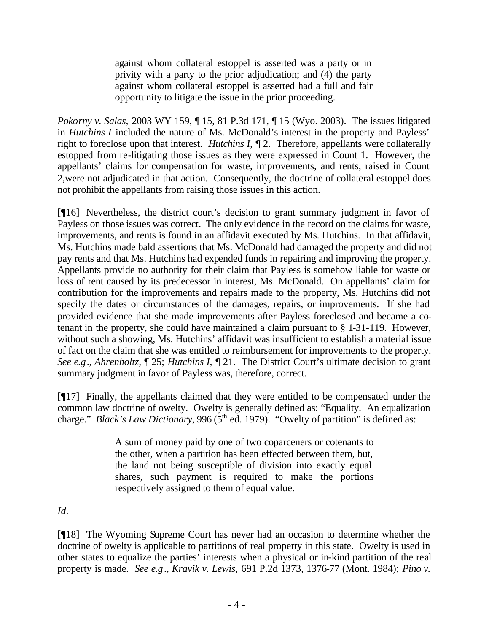against whom collateral estoppel is asserted was a party or in privity with a party to the prior adjudication; and (4) the party against whom collateral estoppel is asserted had a full and fair opportunity to litigate the issue in the prior proceeding.

*Pokorny v. Salas,* 2003 WY 159, ¶ 15, 81 P.3d 171, ¶ 15 (Wyo. 2003). The issues litigated in *Hutchins I* included the nature of Ms. McDonald's interest in the property and Payless' right to foreclose upon that interest. *Hutchins I,* ¶ 2. Therefore, appellants were collaterally estopped from re-litigating those issues as they were expressed in Count 1. However, the appellants' claims for compensation for waste, improvements, and rents, raised in Count 2,were not adjudicated in that action. Consequently, the doctrine of collateral estoppel does not prohibit the appellants from raising those issues in this action.

[¶16] Nevertheless, the district court's decision to grant summary judgment in favor of Payless on those issues was correct. The only evidence in the record on the claims for waste, improvements, and rents is found in an affidavit executed by Ms. Hutchins. In that affidavit, Ms. Hutchins made bald assertions that Ms. McDonald had damaged the property and did not pay rents and that Ms. Hutchins had expended funds in repairing and improving the property. Appellants provide no authority for their claim that Payless is somehow liable for waste or loss of rent caused by its predecessor in interest, Ms. McDonald. On appellants' claim for contribution for the improvements and repairs made to the property, Ms. Hutchins did not specify the dates or circumstances of the damages, repairs, or improvements. If she had provided evidence that she made improvements after Payless foreclosed and became a cotenant in the property, she could have maintained a claim pursuant to § 1-31-119. However, without such a showing, Ms. Hutchins' affidavit was insufficient to establish a material issue of fact on the claim that she was entitled to reimbursement for improvements to the property. *See e.g*., *Ahrenholtz,* ¶ 25; *Hutchins I,* ¶ 21. The District Court's ultimate decision to grant summary judgment in favor of Payless was, therefore, correct.

[¶17] Finally, the appellants claimed that they were entitled to be compensated under the common law doctrine of owelty. Owelty is generally defined as: "Equality. An equalization charge." *Black's Law Dictionary*, 996 ( $5<sup>th</sup>$  ed. 1979). "Owelty of partition" is defined as:

> A sum of money paid by one of two coparceners or cotenants to the other, when a partition has been effected between them, but, the land not being susceptible of division into exactly equal shares, such payment is required to make the portions respectively assigned to them of equal value.

*Id.*

[¶18] The Wyoming Supreme Court has never had an occasion to determine whether the doctrine of owelty is applicable to partitions of real property in this state. Owelty is used in other states to equalize the parties' interests when a physical or in-kind partition of the real property is made. *See e.g*., *Kravik v. Lewis,* 691 P.2d 1373, 1376-77 (Mont. 1984); *Pino v.*